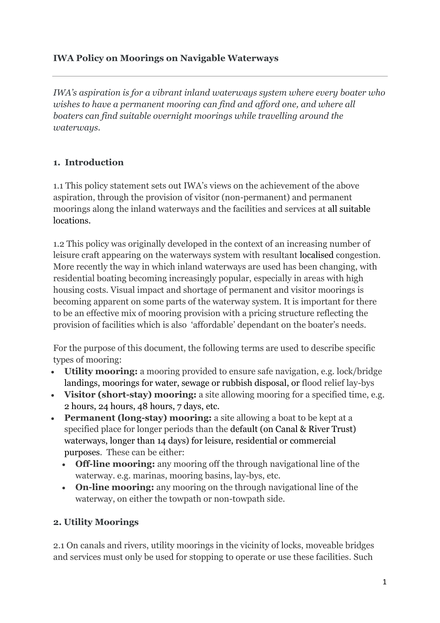### **IWA Policy on Moorings on Navigable Waterways**

*IWA's aspiration is for a vibrant inland waterways system where every boater who wishes to have a permanent mooring can find and afford one, and where all boaters can find suitable overnight moorings while travelling around the waterways.*

## **1. Introduction**

1.1 This policy statement sets out IWA's views on the achievement of the above aspiration, through the provision of visitor (non-permanent) and permanent moorings along the inland waterways and the facilities and services at all suitable locations.

1.2 This policy was originally developed in the context of an increasing number of leisure craft appearing on the waterways system with resultant localised congestion. More recently the way in which inland waterways are used has been changing, with residential boating becoming increasingly popular, especially in areas with high housing costs. Visual impact and shortage of permanent and visitor moorings is becoming apparent on some parts of the waterway system. It is important for there to be an effective mix of mooring provision with a pricing structure reflecting the provision of facilities which is also 'affordable' dependant on the boater's needs.

For the purpose of this document, the following terms are used to describe specific types of mooring:

- **Utility mooring:** a mooring provided to ensure safe navigation, e.g. lock/bridge landings, moorings for water, sewage or rubbish disposal, or flood relief lay-bys
- **Visitor (short-stay) mooring:** a site allowing mooring for a specified time, e.g. 2 hours, 24 hours, 48 hours, 7 days, etc.
- **Permanent (long-stay) mooring:** a site allowing a boat to be kept at a specified place for longer periods than the default (on Canal & River Trust) waterways, longer than 14 days) for leisure, residential or commercial purposes. These can be either:
	- **Off-line mooring:** any mooring off the through navigational line of the waterway. e.g. marinas, mooring basins, lay-bys, etc.
	- **On-line mooring:** any mooring on the through navigational line of the waterway, on either the towpath or non-towpath side.

### **2. Utility Moorings**

2.1 On canals and rivers, utility moorings in the vicinity of locks, moveable bridges and services must only be used for stopping to operate or use these facilities. Such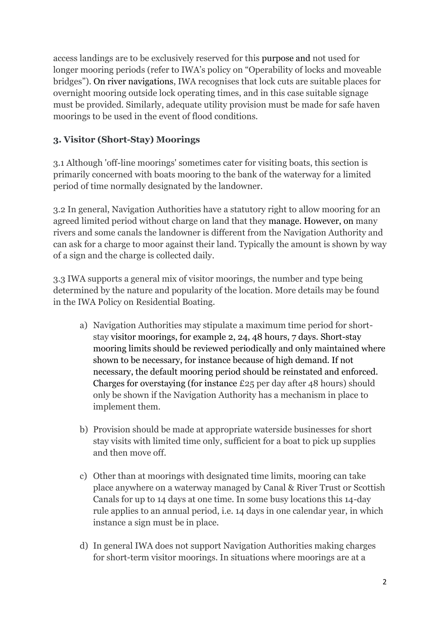access landings are to be exclusively reserved for this purpose and not used for longer mooring periods (refer to IWA's policy on "Operability of locks and moveable bridges"). On river navigations, IWA recognises that lock cuts are suitable places for overnight mooring outside lock operating times, and in this case suitable signage must be provided. Similarly, adequate utility provision must be made for safe haven moorings to be used in the event of flood conditions.

## **3. Visitor (Short-Stay) Moorings**

3.1 Although 'off-line moorings' sometimes cater for visiting boats, this section is primarily concerned with boats mooring to the bank of the waterway for a limited period of time normally designated by the landowner.

3.2 In general, Navigation Authorities have a statutory right to allow mooring for an agreed limited period without charge on land that they manage. However, on many rivers and some canals the landowner is different from the Navigation Authority and can ask for a charge to moor against their land. Typically the amount is shown by way of a sign and the charge is collected daily.

3.3 IWA supports a general mix of visitor moorings, the number and type being determined by the nature and popularity of the location. More details may be found in the IWA Policy on Residential Boating.

- a) Navigation Authorities may stipulate a maximum time period for shortstay visitor moorings, for example 2, 24, 48 hours, 7 days. Short-stay mooring limits should be reviewed periodically and only maintained where shown to be necessary, for instance because of high demand. If not necessary, the default mooring period should be reinstated and enforced. Charges for overstaying (for instance  $\text{\pounds}25$  per day after 48 hours) should only be shown if the Navigation Authority has a mechanism in place to implement them.
- b) Provision should be made at appropriate waterside businesses for short stay visits with limited time only, sufficient for a boat to pick up supplies and then move off.
- c) Other than at moorings with designated time limits, mooring can take place anywhere on a waterway managed by Canal & River Trust or Scottish Canals for up to 14 days at one time. In some busy locations this 14-day rule applies to an annual period, i.e. 14 days in one calendar year, in which instance a sign must be in place.
- d) In general IWA does not support Navigation Authorities making charges for short-term visitor moorings. In situations where moorings are at a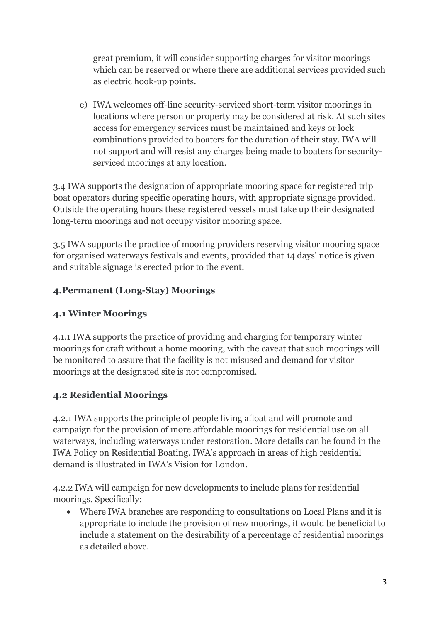great premium, it will consider supporting charges for visitor moorings which can be reserved or where there are additional services provided such as electric hook-up points.

e) IWA welcomes off-line security-serviced short-term visitor moorings in locations where person or property may be considered at risk. At such sites access for emergency services must be maintained and keys or lock combinations provided to boaters for the duration of their stay. IWA will not support and will resist any charges being made to boaters for securityserviced moorings at any location.

3.4 IWA supports the designation of appropriate mooring space for registered trip boat operators during specific operating hours, with appropriate signage provided. Outside the operating hours these registered vessels must take up their designated long-term moorings and not occupy visitor mooring space.

3.5 IWA supports the practice of mooring providers reserving visitor mooring space for organised waterways festivals and events, provided that 14 days' notice is given and suitable signage is erected prior to the event.

## **4.Permanent (Long-Stay) Moorings**

### **4.1 Winter Moorings**

4.1.1 IWA supports the practice of providing and charging for temporary winter moorings for craft without a home mooring, with the caveat that such moorings will be monitored to assure that the facility is not misused and demand for visitor moorings at the designated site is not compromised.

# **4.2 Residential Moorings**

4.2.1 IWA supports the principle of people living afloat and will promote and campaign for the provision of more affordable moorings for residential use on all waterways, including waterways under restoration. More details can be found in the IWA Policy on Residential Boating. IWA's approach in areas of high residential demand is illustrated in IWA's Vision for London.

4.2.2 IWA will campaign for new developments to include plans for residential moorings. Specifically:

 Where IWA branches are responding to consultations on Local Plans and it is appropriate to include the provision of new moorings, it would be beneficial to include a statement on the desirability of a percentage of residential moorings as detailed above.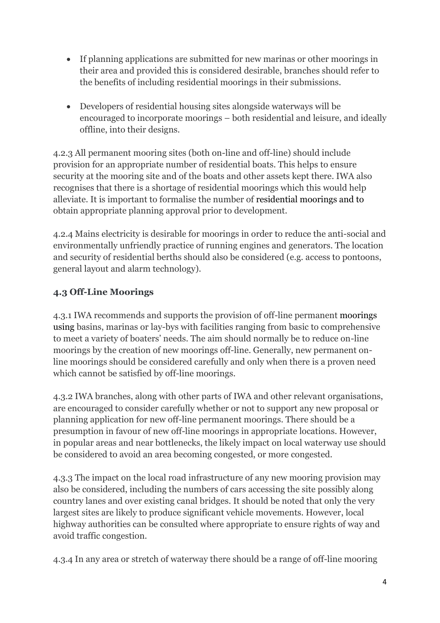- If planning applications are submitted for new marinas or other moorings in their area and provided this is considered desirable, branches should refer to the benefits of including residential moorings in their submissions.
- Developers of residential housing sites alongside waterways will be encouraged to incorporate moorings – both residential and leisure, and ideally offline, into their designs.

4.2.3 All permanent mooring sites (both on-line and off-line) should include provision for an appropriate number of residential boats. This helps to ensure security at the mooring site and of the boats and other assets kept there. IWA also recognises that there is a shortage of residential moorings which this would help alleviate. It is important to formalise the number of residential moorings and to obtain appropriate planning approval prior to development.

4.2.4 Mains electricity is desirable for moorings in order to reduce the anti-social and environmentally unfriendly practice of running engines and generators. The location and security of residential berths should also be considered (e.g. access to pontoons, general layout and alarm technology).

# **4.3 Off-Line Moorings**

4.3.1 IWA recommends and supports the provision of off-line permanent moorings using basins, marinas or lay-bys with facilities ranging from basic to comprehensive to meet a variety of boaters' needs. The aim should normally be to reduce on-line moorings by the creation of new moorings off-line. Generally, new permanent online moorings should be considered carefully and only when there is a proven need which cannot be satisfied by off-line moorings.

4.3.2 IWA branches, along with other parts of IWA and other relevant organisations, are encouraged to consider carefully whether or not to support any new proposal or planning application for new off-line permanent moorings. There should be a presumption in favour of new off-line moorings in appropriate locations. However, in popular areas and near bottlenecks, the likely impact on local waterway use should be considered to avoid an area becoming congested, or more congested.

4.3.3 The impact on the local road infrastructure of any new mooring provision may also be considered, including the numbers of cars accessing the site possibly along country lanes and over existing canal bridges. It should be noted that only the very largest sites are likely to produce significant vehicle movements. However, local highway authorities can be consulted where appropriate to ensure rights of way and avoid traffic congestion.

4.3.4 In any area or stretch of waterway there should be a range of off-line mooring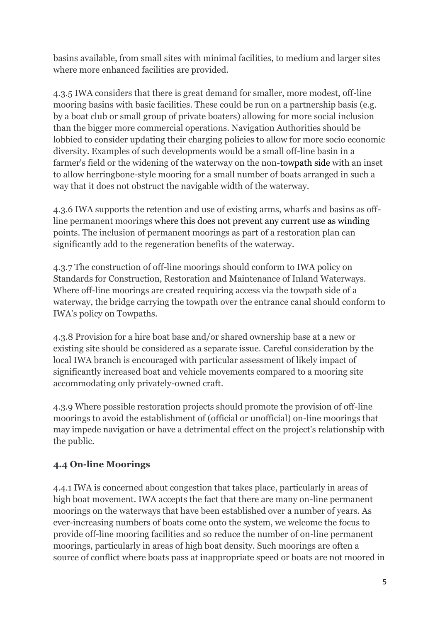basins available, from small sites with minimal facilities, to medium and larger sites where more enhanced facilities are provided.

4.3.5 IWA considers that there is great demand for smaller, more modest, off-line mooring basins with basic facilities. These could be run on a partnership basis (e.g. by a boat club or small group of private boaters) allowing for more social inclusion than the bigger more commercial operations. Navigation Authorities should be lobbied to consider updating their charging policies to allow for more socio economic diversity. Examples of such developments would be a small off-line basin in a farmer's field or the widening of the waterway on the non-towpath side with an inset to allow herringbone-style mooring for a small number of boats arranged in such a way that it does not obstruct the navigable width of the waterway.

4.3.6 IWA supports the retention and use of existing arms, wharfs and basins as offline permanent moorings where this does not prevent any current use as winding points. The inclusion of permanent moorings as part of a restoration plan can significantly add to the regeneration benefits of the waterway.

4.3.7 The construction of off-line moorings should conform to IWA policy on Standards for Construction, Restoration and Maintenance of Inland Waterways. Where off-line moorings are created requiring access via the towpath side of a waterway, the bridge carrying the towpath over the entrance canal should conform to IWA's policy on Towpaths.

4.3.8 Provision for a hire boat base and/or shared ownership base at a new or existing site should be considered as a separate issue. Careful consideration by the local IWA branch is encouraged with particular assessment of likely impact of significantly increased boat and vehicle movements compared to a mooring site accommodating only privately-owned craft.

4.3.9 Where possible restoration projects should promote the provision of off-line moorings to avoid the establishment of (official or unofficial) on-line moorings that may impede navigation or have a detrimental effect on the project's relationship with the public.

### **4.4 On-line Moorings**

4.4.1 IWA is concerned about congestion that takes place, particularly in areas of high boat movement. IWA accepts the fact that there are many on-line permanent moorings on the waterways that have been established over a number of years. As ever-increasing numbers of boats come onto the system, we welcome the focus to provide off-line mooring facilities and so reduce the number of on-line permanent moorings, particularly in areas of high boat density. Such moorings are often a source of conflict where boats pass at inappropriate speed or boats are not moored in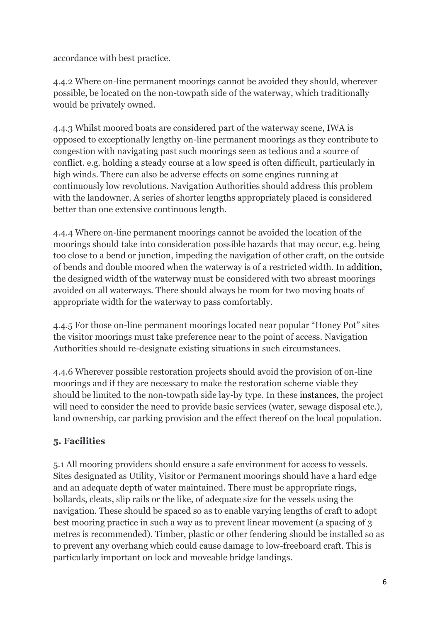accordance with best practice.

4.4.2 Where on-line permanent moorings cannot be avoided they should, wherever possible, be located on the non-towpath side of the waterway, which traditionally would be privately owned.

4.4.3 Whilst moored boats are considered part of the waterway scene, IWA is opposed to exceptionally lengthy on-line permanent moorings as they contribute to congestion with navigating past such moorings seen as tedious and a source of conflict. e.g. holding a steady course at a low speed is often difficult, particularly in high winds. There can also be adverse effects on some engines running at continuously low revolutions. Navigation Authorities should address this problem with the landowner. A series of shorter lengths appropriately placed is considered better than one extensive continuous length.

4.4.4 Where on-line permanent moorings cannot be avoided the location of the moorings should take into consideration possible hazards that may occur, e.g. being too close to a bend or junction, impeding the navigation of other craft, on the outside of bends and double moored when the waterway is of a restricted width. In addition, the designed width of the waterway must be considered with two abreast moorings avoided on all waterways. There should always be room for two moving boats of appropriate width for the waterway to pass comfortably.

4.4.5 For those on-line permanent moorings located near popular "Honey Pot" sites the visitor moorings must take preference near to the point of access. Navigation Authorities should re-designate existing situations in such circumstances.

4.4.6 Wherever possible restoration projects should avoid the provision of on-line moorings and if they are necessary to make the restoration scheme viable they should be limited to the non-towpath side lay-by type. In these instances, the project will need to consider the need to provide basic services (water, sewage disposal etc.), land ownership, car parking provision and the effect thereof on the local population.

# **5. Facilities**

5.1 All mooring providers should ensure a safe environment for access to vessels. Sites designated as Utility, Visitor or Permanent moorings should have a hard edge and an adequate depth of water maintained. There must be appropriate rings, bollards, cleats, slip rails or the like, of adequate size for the vessels using the navigation. These should be spaced so as to enable varying lengths of craft to adopt best mooring practice in such a way as to prevent linear movement (a spacing of 3 metres is recommended). Timber, plastic or other fendering should be installed so as to prevent any overhang which could cause damage to low-freeboard craft. This is particularly important on lock and moveable bridge landings.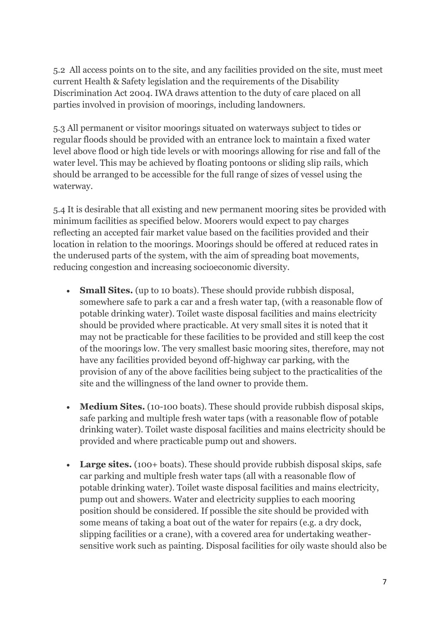5.2 All access points on to the site, and any facilities provided on the site, must meet current Health & Safety legislation and the requirements of the Disability Discrimination Act 2004. IWA draws attention to the duty of care placed on all parties involved in provision of moorings, including landowners.

5.3 All permanent or visitor moorings situated on waterways subject to tides or regular floods should be provided with an entrance lock to maintain a fixed water level above flood or high tide levels or with moorings allowing for rise and fall of the water level. This may be achieved by floating pontoons or sliding slip rails, which should be arranged to be accessible for the full range of sizes of vessel using the waterway.

5.4 It is desirable that all existing and new permanent mooring sites be provided with minimum facilities as specified below. Moorers would expect to pay charges reflecting an accepted fair market value based on the facilities provided and their location in relation to the moorings. Moorings should be offered at reduced rates in the underused parts of the system, with the aim of spreading boat movements, reducing congestion and increasing socioeconomic diversity.

- **Small Sites.** (up to 10 boats). These should provide rubbish disposal, somewhere safe to park a car and a fresh water tap, (with a reasonable flow of potable drinking water). Toilet waste disposal facilities and mains electricity should be provided where practicable. At very small sites it is noted that it may not be practicable for these facilities to be provided and still keep the cost of the moorings low. The very smallest basic mooring sites, therefore, may not have any facilities provided beyond off-highway car parking, with the provision of any of the above facilities being subject to the practicalities of the site and the willingness of the land owner to provide them.
- **Medium Sites.** (10-100 boats). These should provide rubbish disposal skips, safe parking and multiple fresh water taps (with a reasonable flow of potable drinking water). Toilet waste disposal facilities and mains electricity should be provided and where practicable pump out and showers.
- Large sites. (100+ boats). These should provide rubbish disposal skips, safe car parking and multiple fresh water taps (all with a reasonable flow of potable drinking water). Toilet waste disposal facilities and mains electricity, pump out and showers. Water and electricity supplies to each mooring position should be considered. If possible the site should be provided with some means of taking a boat out of the water for repairs (e.g. a dry dock, slipping facilities or a crane), with a covered area for undertaking weathersensitive work such as painting. Disposal facilities for oily waste should also be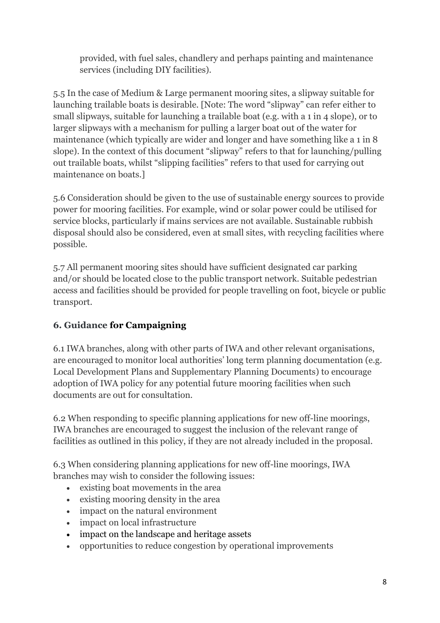provided, with fuel sales, chandlery and perhaps painting and maintenance services (including DIY facilities).

5.5 In the case of Medium & Large permanent mooring sites, a slipway suitable for launching trailable boats is desirable. [Note: The word "slipway" can refer either to small slipways, suitable for launching a trailable boat (e.g. with a 1 in 4 slope), or to larger slipways with a mechanism for pulling a larger boat out of the water for maintenance (which typically are wider and longer and have something like a 1 in 8 slope). In the context of this document "slipway" refers to that for launching/pulling out trailable boats, whilst "slipping facilities" refers to that used for carrying out maintenance on boats.]

5.6 Consideration should be given to the use of sustainable energy sources to provide power for mooring facilities. For example, wind or solar power could be utilised for service blocks, particularly if mains services are not available. Sustainable rubbish disposal should also be considered, even at small sites, with recycling facilities where possible.

5.7 All permanent mooring sites should have sufficient designated car parking and/or should be located close to the public transport network. Suitable pedestrian access and facilities should be provided for people travelling on foot, bicycle or public transport.

# **6. Guidance for Campaigning**

6.1 IWA branches, along with other parts of IWA and other relevant organisations, are encouraged to monitor local authorities' long term planning documentation (e.g. Local Development Plans and Supplementary Planning Documents) to encourage adoption of IWA policy for any potential future mooring facilities when such documents are out for consultation.

6.2 When responding to specific planning applications for new off-line moorings, IWA branches are encouraged to suggest the inclusion of the relevant range of facilities as outlined in this policy, if they are not already included in the proposal.

6.3 When considering planning applications for new off-line moorings, IWA branches may wish to consider the following issues:

- existing boat movements in the area
- existing mooring density in the area
- impact on the natural environment
- impact on local infrastructure
- impact on the landscape and heritage assets
- opportunities to reduce congestion by operational improvements